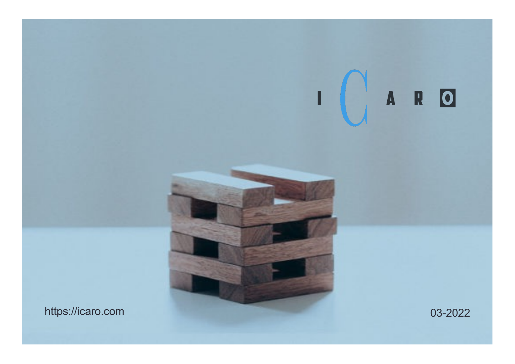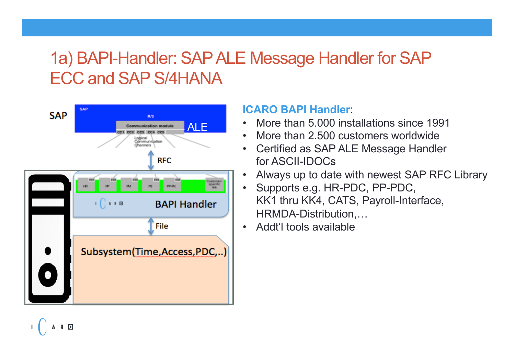### 1a) BAPI-Handler: SAP ALE Message Handler for SAP ECC and SAP S/4HANA



R O

#### **ICARO BAPI Handler**:

- More than 5.000 installations since 1991
- More than 2,500 customers worldwide
- Certified as SAP ALE Message Handler for ASCII-IDOCs
- Always up to date with newest SAP RFC Library
- Supports e.g. HR-PDC, PP-PDC, KK1 thru KK4, CATS, Payroll-Interface, HRMDA-Distribution,…
- Addt'l tools available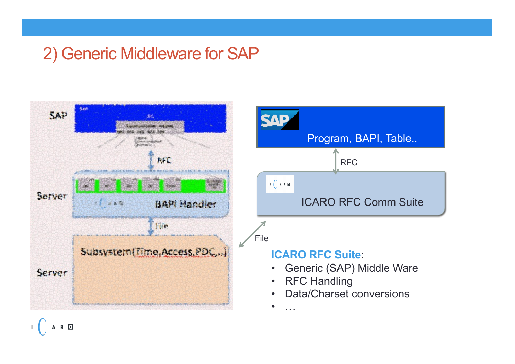### 2) Generic Middleware for SAP





- Generic (SAP) Middle Ware
- RFC Handling
- Data/Charset conversions

• …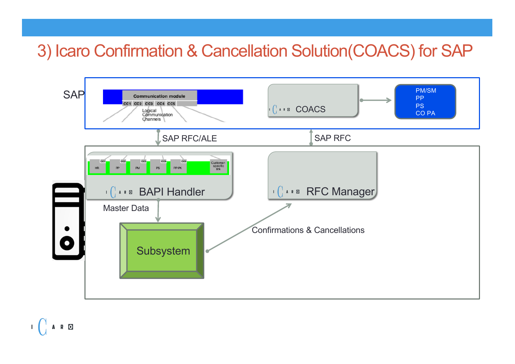### 3) Icaro Confirmation & Cancellation Solution(COACS) for SAP



A R O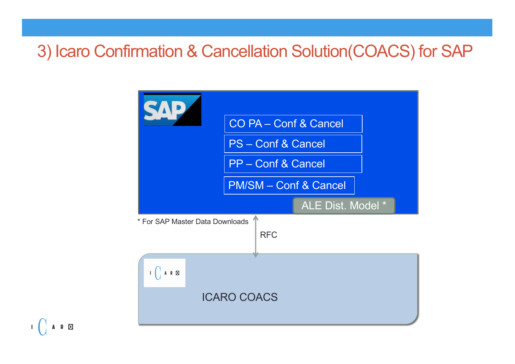### 3) Icaro Confirmation & Cancellation Solution(COACS) for SAP



A R O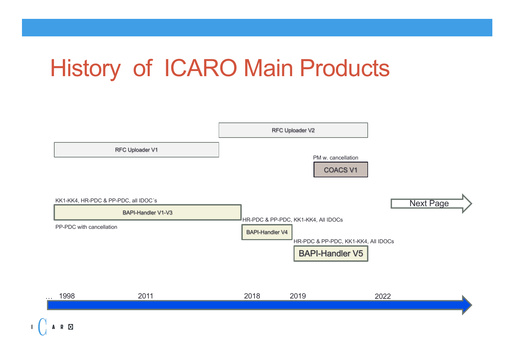# History of ICARO Main Products

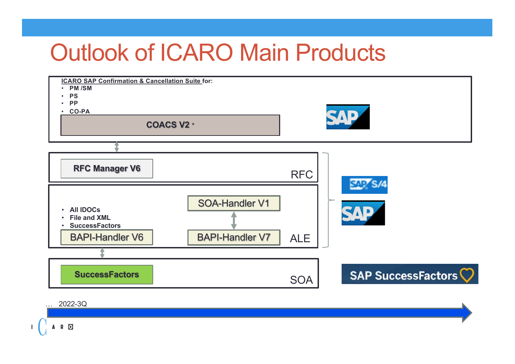### Outlook of ICARO Main Products



A R O  $\mathbf{L}$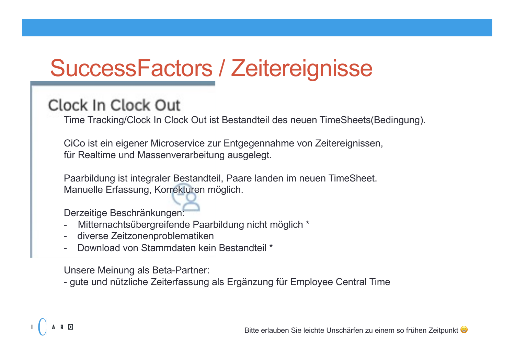# SuccessFactors / Zeitereignisse

#### Clock In Clock Out

Time Tracking/Clock In Clock Out ist Bestandteil des neuen TimeSheets(Bedingung).

CiCo ist ein eigener Microservice zur Entgegennahme von Zeitereignissen, für Realtime und Massenverarbeitung ausgelegt.

Paarbildung ist integraler Bestandteil, Paare landen im neuen TimeSheet. Manuelle Erfassung, Korrekturen möglich.

Derzeitige Beschränkungen:

A R O

- Mitternachtsübergreifende Paarbildung nicht möglich \*
- diverse Zeitzonenproblematiken
- Download von Stammdaten kein Bestandteil \*

Unsere Meinung als Beta-Partner:

- gute und nützliche Zeiterfassung als Ergänzung für Employee Central Time